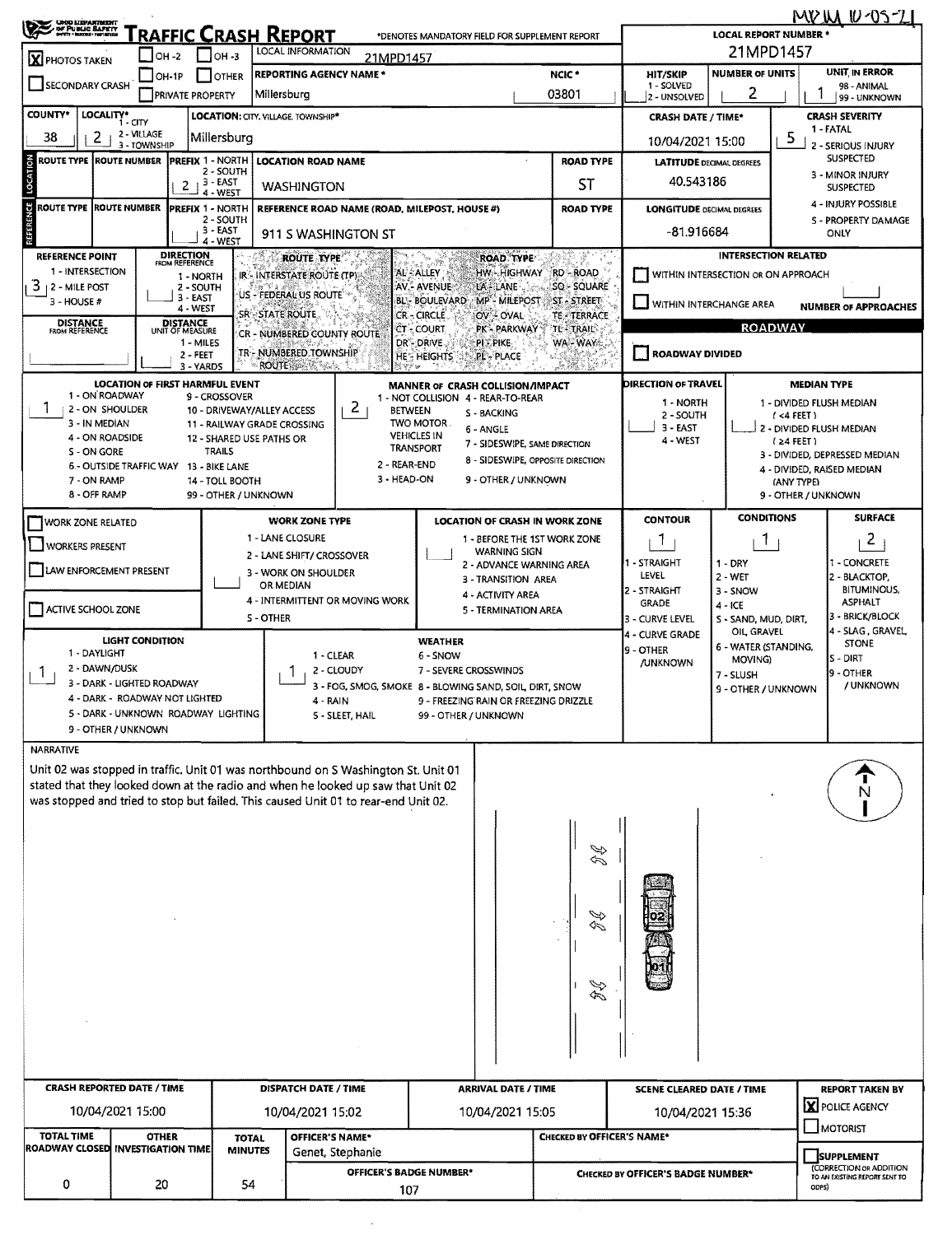| <b>CASE CASE CAP PUBLIC BAPER</b>                                                                                                                                                                                                                            |                                                                       |                                            |                                                           | RAFFIC CRASH REPORT                               |                                                         | *DENOTES MANDATORY FIELD FOR SUPPLEMENT REPORT                |                                           |                                   |                                    | <b>LOCAL REPORT NUMBER *</b>       |                                                          | MP IN 10-05-21                                              |  |  |
|--------------------------------------------------------------------------------------------------------------------------------------------------------------------------------------------------------------------------------------------------------------|-----------------------------------------------------------------------|--------------------------------------------|-----------------------------------------------------------|---------------------------------------------------|---------------------------------------------------------|---------------------------------------------------------------|-------------------------------------------|-----------------------------------|------------------------------------|------------------------------------|----------------------------------------------------------|-------------------------------------------------------------|--|--|
| X PHOTOS TAKEN                                                                                                                                                                                                                                               | $-$ OH -2                                                             |                                            | LOCAL INFORMATION<br>$\Box$ OH -3                         | 21MPD1457                                         |                                                         |                                                               |                                           |                                   |                                    |                                    |                                                          |                                                             |  |  |
| <b>SECONDARY CRASH</b>                                                                                                                                                                                                                                       | $ OH-1P $                                                             | <b>I</b> JOTHER<br><b>PRIVATE PROPERTY</b> | HIT/SKIP<br>1 - SOLVED<br>2 - UNSOLVED                    | UNIT IN ERROR<br>98 - ANIMAL<br>99 - UNKNOWN      |                                                         |                                                               |                                           |                                   |                                    |                                    |                                                          |                                                             |  |  |
| <b>COUNTY*</b>                                                                                                                                                                                                                                               | LOCALITY* CITY                                                        |                                            |                                                           | LOCATION: CITY, VILLAGE, TOWNSHIP*                |                                                         |                                                               |                                           |                                   | <b>CRASH DATE / TIME*</b>          |                                    |                                                          | <b>CRASH SEVERITY</b>                                       |  |  |
| 38<br>2                                                                                                                                                                                                                                                      | 2 - VILLAGE<br>3 - TOWNSHIP                                           |                                            | Millersburg                                               |                                                   |                                                         |                                                               |                                           |                                   | 10/04/2021 15:00                   |                                    | 1 - FATAL<br>5<br>2 - SERIOUS INJURY<br><b>SUSPECTED</b> |                                                             |  |  |
| <b>ROUTE TYPE   ROUTE NUMBER</b>                                                                                                                                                                                                                             |                                                                       | <b>PREFIX 1 - NORTH</b>                    |                                                           | <b>LOCATION ROAD NAME</b>                         |                                                         |                                                               |                                           | <b>ROAD TYPE</b>                  | <b>LATITUDE DECIMAL DEGREES</b>    |                                    |                                                          |                                                             |  |  |
| LOCATION                                                                                                                                                                                                                                                     |                                                                       | $2 + 3 - EAST$                             | 2 - SOUTH                                                 | <b>WASHINGTON</b>                                 |                                                         |                                                               | ST                                        | 40.543186                         |                                    |                                    | 3 - MINOR INJURY<br><b>SUSPECTED</b>                     |                                                             |  |  |
|                                                                                                                                                                                                                                                              |                                                                       |                                            | 4 WEST                                                    |                                                   |                                                         |                                                               |                                           |                                   |                                    |                                    |                                                          | 4 - INJURY POSSIBLE                                         |  |  |
| REFERENCE<br>ROUTE TYPE IROUTE NUMBER<br><b>PREFIX 1 - NORTH</b><br>REFERENCE ROAD NAME (ROAD, MILEPOST, HOUSE #)<br>2 - SOUTH                                                                                                                               |                                                                       |                                            |                                                           |                                                   |                                                         |                                                               |                                           | <b>ROAD TYPE</b>                  | <b>LONGITUDE DECIMAL DEGREES</b>   |                                    |                                                          | 5 - PROPERTY DAMAGE                                         |  |  |
| 3 - EAST<br>911 S WASHINGTON ST<br>4 - WEST                                                                                                                                                                                                                  |                                                                       |                                            |                                                           |                                                   |                                                         |                                                               |                                           |                                   | -81.916684<br>ONLY                 |                                    |                                                          |                                                             |  |  |
| <b>REFERENCE POINT</b>                                                                                                                                                                                                                                       | FROM REFERENCE                                                        | <b>ROAD TYPE</b>                           |                                                           | <b>INTERSECTION RELATED</b>                       |                                                         |                                                               |                                           |                                   |                                    |                                    |                                                          |                                                             |  |  |
| 1 - INTERSECTION<br>HW - HIGHWAY<br><b>RD - ROAD</b><br>AL - ALLEY<br>IR - INTERSTATE ROUTE (TP)<br>1 - NORTH<br>3<br>SQ - SQUARE<br>AV. - AVENUE<br>LA LANE<br>  2 - MILE POST<br>2 - SOUTH                                                                 |                                                                       |                                            |                                                           |                                                   |                                                         |                                                               |                                           |                                   |                                    | WITHIN INTERSECTION OR ON APPROACH |                                                          |                                                             |  |  |
| 3 - HOUSE #                                                                                                                                                                                                                                                  |                                                                       | $3 - EAST$<br>4 - WEST                     |                                                           | US - FEDERAL US ROUTE                             |                                                         | <b>BL- BOULEVARD</b>                                          | <b>MP - MILEPOST</b>                      | <b>ST-STREET</b>                  | WITHIN INTERCHANGE AREA            |                                    |                                                          | <b>NUMBER OF APPROACHES</b>                                 |  |  |
| <b>DISTANCE</b>                                                                                                                                                                                                                                              |                                                                       | DISTANCE<br>UNIT OF MEASURE                |                                                           | <b>SR-STATE ROUTE</b>                             |                                                         | <b>CR-CIRCLE</b><br>CT - COURT                                | OV-OVAL<br><b>PK - PARKWAY</b>            | TE - TERRACE<br>TE - TRAIL        |                                    |                                    | <b>ROADWAY</b>                                           |                                                             |  |  |
| FROM REFERENCE                                                                                                                                                                                                                                               |                                                                       | 1 - MILES                                  |                                                           | CR - NUMBERED COUNTY ROUTE                        |                                                         | DR DRIVE                                                      | :PI : PIKE                                | WA-WAYS                           |                                    |                                    |                                                          |                                                             |  |  |
|                                                                                                                                                                                                                                                              |                                                                       | 2 - FEET<br>3 - YARDS                      |                                                           | TR - NUMBERED TOWNSHIP<br>- ROUTE (感染など)。         |                                                         | <b>HE- HEIGHTS</b>                                            | <b>PL-PLACE</b>                           |                                   | <b>ROADWAY DIVIDED</b>             |                                    |                                                          |                                                             |  |  |
|                                                                                                                                                                                                                                                              | <b>LOCATION OF FIRST HARMFUL EVENT</b>                                |                                            |                                                           |                                                   |                                                         | MANNER OF CRASH COLLISION/IMPACT                              |                                           |                                   | <b>DIRECTION OF TRAVEL</b>         |                                    | <b>MEDIAN TYPE</b>                                       |                                                             |  |  |
| 1 - ON ROADWAY                                                                                                                                                                                                                                               |                                                                       |                                            | 9 - CROSSOVER                                             |                                                   | $\overline{2}$                                          | 1 - NOT COLLISION 4 - REAR-TO-REAR                            |                                           |                                   | 1 - NORTH                          |                                    |                                                          | 1 - DIVIDED FLUSH MEDIAN                                    |  |  |
| 2 - ON SHOULDER<br>3 - IN MEDIAN                                                                                                                                                                                                                             |                                                                       |                                            | 10 - DRIVEWAY/ALLEY ACCESS<br>11 - RAILWAY GRADE CROSSING |                                                   |                                                         | <b>BETWEEN</b><br>TWO MOTOR.                                  | S - BACKING<br>6 - ANGLE                  |                                   | 2 - SOUTH<br>$3 - EAST$            |                                    | (4FEE)                                                   | 2 - DIVIDED FLUSH MEDIAN                                    |  |  |
| 4 - ON ROADSIDE                                                                                                                                                                                                                                              |                                                                       |                                            | 12 - SHARED USE PATHS OR                                  |                                                   |                                                         | <b>VEHICLES IN</b><br><b>TRANSPORT</b>                        |                                           | 7 - SIDESWIPE, SAME DIRECTION     | 4 - WEST                           |                                    | $(24$ FEET)                                              |                                                             |  |  |
| S - ON GORE                                                                                                                                                                                                                                                  | 6 - OUTSIDE TRAFFIC WAY 13 - BIKE LANE                                |                                            | <b>TRAILS</b>                                             |                                                   | 2 - REAR-END                                            |                                                               |                                           | 8 - SIDESWIPE, OPPOSITE DIRECTION |                                    |                                    |                                                          | 3 - DIVIDED, DEPRESSED MEDIAN<br>4 - DIVIDED, RAISED MEDIAN |  |  |
| 7 - ON RAMP                                                                                                                                                                                                                                                  |                                                                       |                                            | 14 - TOLL BOOTH                                           |                                                   | 3 - HEAD-ON                                             |                                                               | 9 - OTHER / UNKNOWN                       |                                   |                                    |                                    | (ANY TYPE)                                               |                                                             |  |  |
| 8 - OFF RAMP                                                                                                                                                                                                                                                 |                                                                       |                                            | 99 - OTHER / UNKNOWN                                      |                                                   |                                                         |                                                               |                                           |                                   |                                    |                                    | 9 - OTHER / UNKNOWN                                      |                                                             |  |  |
| <b>WORK ZONE RELATED</b>                                                                                                                                                                                                                                     |                                                                       |                                            |                                                           | <b>WORK ZONE TYPE</b>                             |                                                         |                                                               |                                           | LOCATION OF CRASH IN WORK ZONE    | <b>CONTOUR</b>                     | <b>CONDITIONS</b>                  |                                                          | <b>SURFACE</b>                                              |  |  |
| <b>WORKERS PRESENT</b>                                                                                                                                                                                                                                       |                                                                       |                                            |                                                           | 1 - LANE CLOSURE                                  |                                                         |                                                               | <b>WARNING SIGN</b>                       | 1 - BEFORE THE 1ST WORK ZONE      | П.                                 | T.                                 |                                                          | 2                                                           |  |  |
| LAW ENFORCEMENT PRESENT                                                                                                                                                                                                                                      |                                                                       |                                            |                                                           | 2 - LANE SHIFT/ CROSSOVER<br>3 - WORK ON SHOULDER |                                                         |                                                               |                                           | 2 - ADVANCE WARNING AREA          | 1 - STRAIGHT                       | $1 - DRY$                          |                                                          | 1 - CONCRETE                                                |  |  |
|                                                                                                                                                                                                                                                              |                                                                       |                                            |                                                           | OR MEDIAN                                         |                                                         |                                                               | 3 - TRANSITION AREA                       |                                   | LEVEL<br>2 - STRAIGHT              | 2 - WET<br>3 - SNOW                |                                                          | 2 - BLACKTOP,<br><b>BITUMINOUS,</b>                         |  |  |
| ACTIVE SCHOOL ZONE                                                                                                                                                                                                                                           |                                                                       |                                            |                                                           |                                                   | 4 - INTERMITTENT OR MOVING WORK                         |                                                               | 4 - ACTIVITY AREA<br>5 - TERMINATION AREA |                                   | <b>GRADE</b>                       | $4 - ICE$                          |                                                          | <b>ASPHALT</b>                                              |  |  |
|                                                                                                                                                                                                                                                              |                                                                       |                                            | S OTHER                                                   |                                                   |                                                         |                                                               |                                           |                                   | 3 - CURVE LEVEL<br>4 - CURVE GRADE | S - SAND, MUD, DIRT,<br>OIL GRAVEL |                                                          | 3 - BRICK/BLOCK<br>4 - SLAG, GRAVEL,                        |  |  |
| 1 - DAYLIGHT                                                                                                                                                                                                                                                 | <b>LIGHT CONDITION</b>                                                |                                            |                                                           |                                                   |                                                         | <b>WEATHER</b>                                                |                                           |                                   | 9 - OTHER                          | 6 - WATER (STANDING,               |                                                          | <b>STONE</b>                                                |  |  |
| 2 - DAWN/DUSK<br>$\mathbf{I}$                                                                                                                                                                                                                                |                                                                       |                                            |                                                           |                                                   | 1 - CLEAR<br>2 - CLOUDY                                 | 6 - SNOW<br>7 - SEVERE CROSSWINDS                             |                                           |                                   | <b>JUNKNOWN</b>                    | MOVING)<br>7 - SLUSH               |                                                          | ls - Dirt<br>9 - OTHER                                      |  |  |
|                                                                                                                                                                                                                                                              | 3 - DARK - LIGHTED ROADWAY                                            |                                            |                                                           |                                                   | 3 - FOG, SMOG, SMOKE 8 - BLOWING SAND, SOIL, DIRT, SNOW |                                                               |                                           |                                   |                                    | 9 - OTHER / UNKNOWN                |                                                          | / UNKNOWN                                                   |  |  |
|                                                                                                                                                                                                                                                              | 4 - DARK - ROADWAY NOT LIGHTED<br>5 - DARK - UNKNOWN ROADWAY LIGHTING |                                            |                                                           | 4 - RAIN                                          | 5 - SLEET, HAIL                                         | 9 - FREEZING RAIN OR FREEZING DRIZZLE<br>99 - OTHER / UNKNOWN |                                           |                                   |                                    |                                    |                                                          |                                                             |  |  |
|                                                                                                                                                                                                                                                              | 9 - OTHER / UNKNOWN                                                   |                                            |                                                           |                                                   |                                                         |                                                               |                                           |                                   |                                    |                                    |                                                          |                                                             |  |  |
| <b>NARRATIVE</b>                                                                                                                                                                                                                                             |                                                                       |                                            |                                                           |                                                   |                                                         |                                                               |                                           |                                   |                                    |                                    |                                                          |                                                             |  |  |
| Unit 02 was stopped in traffic. Unit 01 was northbound on S Washington St. Unit 01<br>stated that they looked down at the radio and when he looked up saw that Unit 02<br>was stopped and tried to stop but failed. This caused Unit 01 to rear-end Unit 02. |                                                                       |                                            |                                                           |                                                   |                                                         |                                                               |                                           |                                   |                                    |                                    |                                                          |                                                             |  |  |
|                                                                                                                                                                                                                                                              |                                                                       |                                            |                                                           |                                                   |                                                         |                                                               |                                           |                                   |                                    |                                    |                                                          |                                                             |  |  |
|                                                                                                                                                                                                                                                              |                                                                       |                                            |                                                           |                                                   |                                                         |                                                               |                                           |                                   |                                    |                                    |                                                          |                                                             |  |  |
|                                                                                                                                                                                                                                                              |                                                                       |                                            |                                                           |                                                   |                                                         |                                                               |                                           | R                                 |                                    |                                    |                                                          |                                                             |  |  |
|                                                                                                                                                                                                                                                              |                                                                       |                                            |                                                           |                                                   |                                                         |                                                               |                                           |                                   |                                    |                                    |                                                          |                                                             |  |  |
|                                                                                                                                                                                                                                                              |                                                                       |                                            |                                                           |                                                   |                                                         |                                                               |                                           |                                   |                                    |                                    |                                                          |                                                             |  |  |
|                                                                                                                                                                                                                                                              |                                                                       |                                            |                                                           |                                                   |                                                         |                                                               |                                           | D                                 |                                    |                                    |                                                          |                                                             |  |  |
|                                                                                                                                                                                                                                                              |                                                                       |                                            |                                                           |                                                   |                                                         |                                                               |                                           |                                   |                                    |                                    |                                                          |                                                             |  |  |
|                                                                                                                                                                                                                                                              |                                                                       |                                            |                                                           |                                                   |                                                         |                                                               |                                           |                                   |                                    |                                    |                                                          |                                                             |  |  |
|                                                                                                                                                                                                                                                              |                                                                       |                                            |                                                           |                                                   |                                                         |                                                               |                                           |                                   |                                    |                                    |                                                          |                                                             |  |  |
|                                                                                                                                                                                                                                                              |                                                                       |                                            |                                                           |                                                   |                                                         |                                                               |                                           |                                   |                                    |                                    |                                                          |                                                             |  |  |
|                                                                                                                                                                                                                                                              |                                                                       |                                            |                                                           |                                                   |                                                         |                                                               |                                           |                                   |                                    |                                    |                                                          |                                                             |  |  |
|                                                                                                                                                                                                                                                              |                                                                       |                                            |                                                           |                                                   |                                                         |                                                               |                                           |                                   |                                    |                                    |                                                          |                                                             |  |  |
|                                                                                                                                                                                                                                                              |                                                                       |                                            |                                                           |                                                   |                                                         |                                                               |                                           |                                   |                                    |                                    |                                                          |                                                             |  |  |
| <b>CRASH REPORTED DATE / TIME</b>                                                                                                                                                                                                                            |                                                                       |                                            |                                                           | DISPATCH DATE / TIME                              |                                                         |                                                               | <b>ARRIVAL DATE / TIME</b>                |                                   | <b>SCENE CLEARED DATE / TIME</b>   |                                    |                                                          | <b>REPORT TAKEN BY</b><br>X POLICE AGENCY                   |  |  |
|                                                                                                                                                                                                                                                              | 10/04/2021 15:00                                                      |                                            |                                                           | 10/04/2021 15:02                                  |                                                         |                                                               | 10/04/2021 15:05                          |                                   | 10/04/2021 15:36                   |                                    |                                                          | MOTORIST                                                    |  |  |
| <b>TOTAL TIME</b><br>ROADWAY CLOSED INVESTIGATION TIME                                                                                                                                                                                                       | <b>OTHER</b>                                                          |                                            | <b>TOTAL</b><br><b>MINUTES</b>                            | OFFICER'S NAME*                                   | Genet, Stephanie                                        |                                                               |                                           | CHECKED BY OFFICER'S NAME*        |                                    |                                    |                                                          |                                                             |  |  |
|                                                                                                                                                                                                                                                              |                                                                       |                                            |                                                           |                                                   |                                                         | <b>OFFICER'S BADGE NUMBER*</b>                                |                                           |                                   | CHECKED BY OFFICER'S BADGE NUMBER* |                                    |                                                          | <b>SUPPLEMENT</b><br>(CORRECTION OR ADDITION                |  |  |
| 0                                                                                                                                                                                                                                                            | 20                                                                    |                                            | 54                                                        |                                                   | 107                                                     |                                                               |                                           |                                   |                                    |                                    | ODPS)                                                    | TO AN EXISTING REPORT SENT TO                               |  |  |
|                                                                                                                                                                                                                                                              |                                                                       |                                            |                                                           |                                                   |                                                         |                                                               |                                           |                                   |                                    |                                    |                                                          |                                                             |  |  |

 $\mathcal{L}^{\pm}$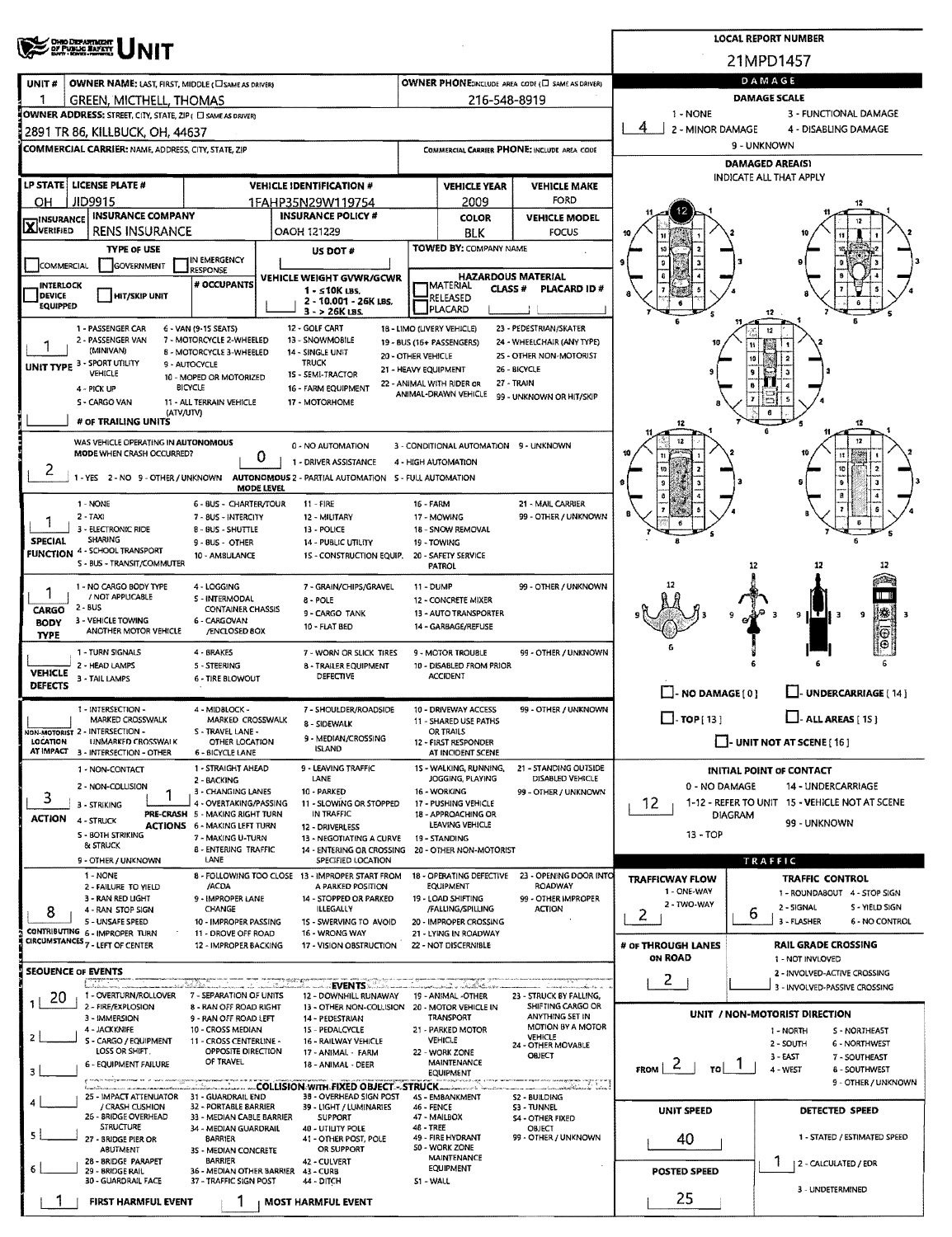|                                                         | <b>OHIO DEPARTMENT</b><br>OF PUBLIC BAFETY                                                                                 |                                                                        | <b>LOCAL REPORT NUMBER</b> |                                                                          |                    |                                                                        |                                                                                             |                                       |                                                              |  |  |  |  |
|---------------------------------------------------------|----------------------------------------------------------------------------------------------------------------------------|------------------------------------------------------------------------|----------------------------|--------------------------------------------------------------------------|--------------------|------------------------------------------------------------------------|---------------------------------------------------------------------------------------------|---------------------------------------|--------------------------------------------------------------|--|--|--|--|
|                                                         |                                                                                                                            |                                                                        |                            |                                                                          |                    |                                                                        |                                                                                             |                                       | 21MPD1457                                                    |  |  |  |  |
| UNIT#                                                   | OWNER NAME: LAST, FIRST, MIDDLE (CI SAME AS DRIVER)                                                                        |                                                                        |                            |                                                                          |                    |                                                                        | OWNER PHONE:INCLUDE AREA CODE (C) SAME AS DRIVER)                                           | DAMAGE                                |                                                              |  |  |  |  |
|                                                         | <b>GREEN, MICTHELL, THOMAS</b>                                                                                             |                                                                        |                            |                                                                          |                    | 216-548-8919                                                           |                                                                                             | <b>DAMAGE SCALE</b>                   |                                                              |  |  |  |  |
|                                                         | 1 - NONE<br>3 - FUNCTIONAL DAMAGE<br>OWNER ADDRESS: STREET, CITY, STATE, ZIP ( C) SAME AS ORIVERY<br>4<br>2 - MINOR DAMAGE |                                                                        |                            |                                                                          |                    |                                                                        |                                                                                             |                                       |                                                              |  |  |  |  |
|                                                         | 2891 TR 86, KILLBUCK, OH, 44637<br><b>COMMERCIAL CARRIER: NAME, ADDRESS, CITY, STATE, ZIP</b>                              |                                                                        |                            |                                                                          |                    |                                                                        | COMMERCIAL CARRIER PHONE: INCLUDE AREA CODE                                                 | 4 - DISABLING DAMAGE<br>9 - UNKNOWN   |                                                              |  |  |  |  |
|                                                         |                                                                                                                            |                                                                        |                            |                                                                          |                    |                                                                        |                                                                                             | <b>DAMAGED AREA(S)</b>                |                                                              |  |  |  |  |
|                                                         | LP STATE LICENSE PLATE #                                                                                                   |                                                                        |                            | <b>VEHICLE IDENTIFICATION #</b>                                          |                    | <b>VEHICLE YEAR</b>                                                    | <b>VEHICLE MAKE</b>                                                                         |                                       | INDICATE ALL THAT APPLY                                      |  |  |  |  |
| он                                                      | <b>JID9915</b>                                                                                                             |                                                                        |                            | 1FAHP35N29W119754                                                        |                    | 2009                                                                   | FORD                                                                                        |                                       |                                                              |  |  |  |  |
| <b>INSURANCE</b><br><b>X</b> VERIFIED                   | INSURANCE COMPANY                                                                                                          |                                                                        |                            | <b>INSURANCE POLICY #</b>                                                |                    | <b>COLOR</b>                                                           | <b>VEHICLE MODEL</b>                                                                        |                                       |                                                              |  |  |  |  |
|                                                         | <b>RENS INSURANCE</b><br><b>TYPE OF USE</b>                                                                                |                                                                        |                            | OAOH 121229<br>US DOT#                                                   |                    | BLK<br><b>TOWED BY: COMPANY NAME</b>                                   | <b>FOCUS</b>                                                                                |                                       |                                                              |  |  |  |  |
| COMMERCIAL                                              | <b>GOVERNMENT</b>                                                                                                          | IN EMERGENCY<br><b>RESPONSE</b>                                        |                            |                                                                          |                    |                                                                        |                                                                                             |                                       |                                                              |  |  |  |  |
| <b>INTERLOCK</b>                                        |                                                                                                                            | # OCCUPANTS                                                            |                            | VEHICLE WEIGHT GVWR/GCWR<br>1 - ≤10K LBS.                                |                    | <b>HAZARDOUS MATERIAL</b><br>IMATERIAL<br><b>CLASS#</b><br>PLACARD ID# |                                                                                             |                                       |                                                              |  |  |  |  |
| <b>DEVICE</b><br><b>EQUIPPED</b>                        | <b>HIT/SKIP UNIT</b>                                                                                                       |                                                                        |                            | 2 - 10.001 - 26K LBS.<br>$3 - 26K$ LBS.                                  |                    | RELEASED<br>PLACARD                                                    |                                                                                             |                                       |                                                              |  |  |  |  |
|                                                         | 1 - PASSENGER CAR                                                                                                          | 6 - VAN (9-15 SEATS)                                                   |                            | 12 - GOLF CART                                                           |                    | 18 - LIMO (LIVERY VEHICLE)                                             | 23 - PEDESTRIAN/SKATER                                                                      |                                       |                                                              |  |  |  |  |
|                                                         | 2 - PASSENGER VAN<br>(MINIVAN)                                                                                             | 7 - MOTORCYCLE 2-WHEELED<br>B - MOTORCYCLE 3-WHEELED                   |                            | 13 - SNOWMO8ILE<br>14 - SINGLE UNIT                                      |                    | 19 - BUS (16+ PASSENGERS)                                              | 24 - WHEELCHAIR (ANY TYPE)                                                                  |                                       |                                                              |  |  |  |  |
|                                                         | UNIT TYPE 3 - SPORT UTILITY<br>VEHICLE                                                                                     | 9 - AUTOCYCLE                                                          |                            | <b>TRUCK</b><br>15 - SEMI-TRACTOR                                        | 20 - OTHER VEHICLE | 21 - HEAVY EQUIPMENT                                                   | 25 - OTHER NON-MOTORIST<br>26 - BICYCLE                                                     |                                       | 10                                                           |  |  |  |  |
|                                                         | 4 - PICK UP                                                                                                                | 10 - MOPED OR MOTORIZED<br><b>BICYCLE</b>                              |                            | 16 - FARM EQUIPMENT                                                      |                    | 22 - ANIMAL WITH RIDER OR<br>ANIMAL-DRAWN VEHICLE                      | 27 - TRAIN                                                                                  |                                       |                                                              |  |  |  |  |
|                                                         | S - CARGO VAN<br>(ATV/UTV)                                                                                                 | 11 - ALL TERRAIN VEHICLE                                               |                            | 17 - MOTORHOME                                                           |                    |                                                                        | 99 - UNKNOWN OR HIT/SKIP                                                                    |                                       |                                                              |  |  |  |  |
|                                                         | # OF TRAILING UNITS                                                                                                        |                                                                        |                            |                                                                          |                    |                                                                        |                                                                                             |                                       |                                                              |  |  |  |  |
|                                                         | WAS VEHICLE OPERATING IN AUTONOMOUS<br>MODE WHEN CRASH OCCURRED?                                                           |                                                                        | 0                          | 0 - NO AUTOMATION                                                        |                    | 3 - CONDITIONAL AUTOMATION 9 - UNKNOWN                                 |                                                                                             |                                       |                                                              |  |  |  |  |
| 2                                                       | 1 - YES 2 - NO 9 - OTHER / UNKNOWN                                                                                         |                                                                        |                            | 1 - DRIVER ASSISTANCE                                                    |                    | 4 - HIGH AUTOMATION                                                    |                                                                                             |                                       | 10                                                           |  |  |  |  |
|                                                         |                                                                                                                            |                                                                        | <b>MODE LEVEL</b>          | AUTONOMOUS 2 - PARTIAL AUTOMATION 5 - FULL AUTOMATION                    |                    |                                                                        |                                                                                             |                                       |                                                              |  |  |  |  |
|                                                         | 1 - NONE<br>$2 - TAX$                                                                                                      | 6 - BUS - CHARTER/TOUR<br>7 - 8US - INTERCITY                          |                            | $11 - FIRE$<br>12 - MILITARY                                             | <b>16 - FARM</b>   | 17 - MOWING                                                            | 21 - MAIL CARRIER<br>99 - OTHER / UNKNOWN                                                   |                                       |                                                              |  |  |  |  |
| 3 - ELECTRONIC RIDE<br>8 - BUS - SHUTTLE<br>13 - POLICE |                                                                                                                            |                                                                        |                            |                                                                          |                    | 18 - SNOW REMOVAL                                                      |                                                                                             |                                       |                                                              |  |  |  |  |
| <b>SPECIAL</b>                                          | <b>SHARING</b><br>FUNCTION 4 - SCHOOL TRANSPORT                                                                            | 9 - BUS - OTHER<br>10 - AM8ULANCE                                      |                            | <b>14 - PUBLIC UTILITY</b><br>1S - CONSTRUCTION EQUIP.                   |                    | 19 - TOWING<br>20 - SAFETY SERVICE                                     |                                                                                             |                                       |                                                              |  |  |  |  |
|                                                         | 5 - BUS - TRANSIT/COMMUTER                                                                                                 |                                                                        |                            |                                                                          |                    | <b>PATROL</b>                                                          |                                                                                             |                                       | 12                                                           |  |  |  |  |
| 1                                                       | 1 - NO CARGO BODY TYPE<br>/ NOT APPLICABLE                                                                                 | 4 - LOGGING<br>S - INTERMODAL                                          |                            | 7 - GRAIN/CHIPS/GRAVEL<br>8 - POLE                                       | <b>11 - DUMP</b>   | 12 - CONCRETE MIXER                                                    | 99 - OTHER / UNKNOWN                                                                        |                                       |                                                              |  |  |  |  |
| CARGO                                                   | 2 - BUS<br>3 - VEHICLE TOWING                                                                                              | CONTAINER CHASSIS<br>6 - CARGOVAN                                      |                            | 9 - CARGO TANK                                                           |                    | 13 - AUTO TRANSPORTER                                                  |                                                                                             |                                       | 総<br>9<br>9                                                  |  |  |  |  |
| <b>BODY</b><br><b>TYPE</b>                              | ANOTHER MOTOR VEHICLE                                                                                                      | /ENCLOSED BOX                                                          |                            | 10 - FLAT BED                                                            |                    | 14 - GARBAGE/REFUSE                                                    |                                                                                             |                                       |                                                              |  |  |  |  |
|                                                         | 1 - TURN SIGNALS                                                                                                           | 4 - BRAKES                                                             |                            | 7 - WORN OR SLICK TIRES                                                  |                    | 9 - MOTOR TROUBLE                                                      | 99 - OTHER / UNKNOWN                                                                        |                                       |                                                              |  |  |  |  |
| <b>VEHICLE</b>                                          | 2 - HEAD LAMPS<br>3 - TAIL LAMPS                                                                                           | 5 - STEERING<br><b>6 - TIRE BLOWOUT</b>                                |                            | <b>8 - TRAILER EQUIPMENT</b><br>DEFECTIVE                                |                    | 10 - DISABLED FROM PRIOR<br><b>ACCIDENT</b>                            |                                                                                             |                                       |                                                              |  |  |  |  |
| <b>DEFECTS</b>                                          |                                                                                                                            |                                                                        |                            |                                                                          |                    |                                                                        |                                                                                             | $-$ NO DAMAGE [ 0 ]                   | <b>LI-UNDERCARRIAGE [ 14 ]</b>                               |  |  |  |  |
|                                                         | 1 - INTERSECTION -<br>MARKED CROSSWALK                                                                                     | 4 - MIDBLOCK -<br>MARKED CROSSWALK                                     |                            | 7 - SHOULDER/ROADSIDE<br>8 - SIDEWALK                                    |                    | 10 - DRIVEWAY ACCESS<br>11 - SHARED USE PATHS                          | 99 - OTHER / UNKNOWN                                                                        | $\Box$ -TOP[13]                       | $\Box$ - ALL AREAS [1S]                                      |  |  |  |  |
| LOCATION                                                | NON-MOTORIST 2 - INTERSECTION -<br>UNMARKED CROSSWALK                                                                      | S - TRAVEL LANE -<br>OTHER LOCATION                                    |                            | 9 - MEDIAN/CROSSING                                                      |                    | OR TRAILS<br>12 - FIRST RESPONDER                                      |                                                                                             |                                       | $\Box$ - UNIT NOT AT SCENE [ 16 ]                            |  |  |  |  |
|                                                         | AT IMPACT 3 - INTERSECTION - OTHER                                                                                         | 6 - BICYCLE LANE                                                       |                            | <b>ISLAND</b>                                                            |                    | AT INCIDENT SCENE                                                      |                                                                                             |                                       |                                                              |  |  |  |  |
|                                                         | 1 - NON-CONTACT<br>2 - NON-COLLISION                                                                                       | 1 - STRAIGHT AHEAD<br>2 - BACKING                                      |                            | 9 - LEAVING TRAFFIC<br>LANE                                              |                    | 15 - WALKING, RUNNING,<br>JOGGING, PLAYING                             | 21 - STANDING OUTSIDE<br>DISABLED VEHICLE                                                   | 0 - NO DAMAGE                         | INITIAL POINT OF CONTACT<br>14 - UNDERCARRIAGE               |  |  |  |  |
| 3                                                       | 1<br>3 - STRIKING                                                                                                          | 3 - CHANGING LANES<br>4 - OVERTAKING/PASSING                           |                            | 10 - PARKED<br>11 - SLOWING OR STOPPED                                   |                    | 16 - WORKING<br>17 - PUSHING VEHICLE                                   | 99 - OTHER / UNKNOWN                                                                        | 12                                    | 1-12 - REFER TO UNIT 15 - VEHICLE NOT AT SCENE               |  |  |  |  |
| <b>ACTION</b>                                           | 4 - STRUCK                                                                                                                 | PRE-CRASH 5 - MAKING RIGHT TURN<br><b>ACTIONS</b> 6 - MAKING LEFT TURN |                            | IN TRAFFIC<br>12 - DRIVERLESS                                            |                    | 18 - APPROACHING OR<br>LEAVING VEHICLE                                 |                                                                                             |                                       | <b>DIAGRAM</b><br>99 - UNKNOWN                               |  |  |  |  |
|                                                         | <b>S - BOTH STRIKING</b><br>& STRUCK                                                                                       | 7 - MAKING U-TURN                                                      |                            | 13 - NEGOTIATING A CURVE<br>14 - ENTERING OR CROSSING                    |                    | 19 - STANDING                                                          |                                                                                             | $13 - TOP$                            |                                                              |  |  |  |  |
|                                                         | 9 - OTHER / UNKNOWN                                                                                                        | 8 - ENTERING TRAFFIC<br>LANE                                           |                            | SPECIFIED LOCATION                                                       |                    | 20 - OTHER NON-MOTORIST                                                |                                                                                             |                                       | TRAFFIC                                                      |  |  |  |  |
|                                                         | 1 - NONE<br>2 - FAILURE TO YIELD                                                                                           | /ACDA                                                                  |                            | 8 - FOLLOWING TOO CLOSE 13 - IMPROPER START FROM<br>A PARKED POSITION    |                    | 18 - OPERATING DEFECTIVE<br><b>EQUIPMENT</b>                           | 23 - OPENING DOOR INTO<br>ROADWAY                                                           | <b>TRAFFICWAY FLOW</b><br>1 - ONE-WAY | <b>TRAFFIC CONTROL</b>                                       |  |  |  |  |
| 8                                                       | 3 - RAN RED LIGHT<br>4 - RAN STOP SIGN                                                                                     | 9 - IMPROPER LANE<br>CHANGE                                            |                            | 14 - STOPPED OR PARKED<br><b>ILLEGALLY</b>                               |                    | 19 - LOAD SHIFTING<br>/FALLING/SPILLING                                | 99 - OTHER IMPROPER<br><b>ACTION</b>                                                        | 2 - TWO-WAY                           | 1 - ROUNDABOUT 4 - STOP SIGN<br>5 - YIELD SIGN<br>2 - SIGNAL |  |  |  |  |
|                                                         | 5 - UNSAFE SPEED<br>CONTRIBUTING 6 - IMPROPER TURN                                                                         | 10 - IMPROPER PASSING                                                  |                            | 1S - SWERVING TO AVOID<br>16 - WRONG WAY                                 |                    | 20 - IMPROPER CROSSING                                                 |                                                                                             | 2                                     | 6<br>3 - FLASHER<br><b>6 - NO CONTROL</b>                    |  |  |  |  |
|                                                         | CIRCUMSTANCES <sub>7</sub> - LEFT OF CENTER                                                                                | 11 - DROVE OFF ROAD<br>12 - IMPROPER BACKING                           |                            | 17 - VISION OBSTRUCTION                                                  |                    | 21 - LYING IN ROADWAY<br>22 - NOT DISCERNIBLE                          |                                                                                             | # OF THROUGH LANES                    | <b>RAIL GRADE CROSSING</b>                                   |  |  |  |  |
|                                                         | <b>SEOUENCE OF EVENTS</b>                                                                                                  |                                                                        |                            |                                                                          |                    |                                                                        |                                                                                             | <b>ON ROAD</b>                        | 1 - NOT INVLOVED<br>2 - INVOLVED-ACTIVE CROSSING             |  |  |  |  |
|                                                         | i viti f<br>1 - OVERTURN/ROLLOVER                                                                                          | 7 - SEPARATION OF UNITS                                                | a di minima                | 2. EVENTS .                                                              |                    |                                                                        | a complete a construction of the                                                            | 2                                     | 3 - INVOLVED-PASSIVE CROSSING                                |  |  |  |  |
| 20                                                      | 2 - FIRE/EXPLOSION                                                                                                         | 8 - RAN OFF ROAD RIGHT                                                 |                            | 12 - DOWNHILL RUNAWAY<br>13 - OTHER NON-COLLISION                        |                    | 19 - ANIMAL -OTHER<br>20 - MOTOR VEHICLE IN                            | 23 - STRUCK BY FALLING,<br>SHIFTING CARGO OR<br>ANYTHING SET IN                             |                                       | UNIT / NON-MOTORIST DIRECTION                                |  |  |  |  |
|                                                         | 3 - IMMERSION<br>4 - JACKKNIFE                                                                                             | 9 - RAN OFF ROAD LEFT<br>10 - CROSS MEDIAN                             |                            | 14 - PEDESTRIAN<br>15 - PEDALCYCLE                                       |                    | TRANSPORT<br>21 - PARKED MOTOR                                         | MOTION BY A MOTOR<br>VEHICLE                                                                |                                       | 1 - NORTH<br>S - NORTHEAST                                   |  |  |  |  |
| 2                                                       | S - CARGO / EQUIPMENT<br>LOSS OR SHIFT.                                                                                    | 11 - CROSS CENTERLINE -<br>OPPOSITE DIRECTION                          |                            | 16 - RAILWAY VEHICLE<br>17 - ANIMAL - FARM                               |                    | <b>VEHICLE</b><br>22 - WORK ZONE                                       | 24 - OTHER MOVABLE<br><b>OBJECT</b>                                                         |                                       | 6 - NORTHWEST<br>2 - SOUTH<br>3 - EAST<br>7 - SOUTHEAST      |  |  |  |  |
| 3                                                       | 6 - EQUIPMENT FAILURE                                                                                                      | OF TRAVEL                                                              |                            | 18 - ANIMAL - DEER                                                       |                    | MAINTENANCE<br><b>EQUIPMENT</b>                                        |                                                                                             | $\epsilon$<br><b>FROM</b><br>TO       | 4 - WEST<br><b>8 - SOUTHWEST</b>                             |  |  |  |  |
|                                                         | ka matalog a san<br>25 - IMPACT ATTENUATOR                                                                                 | 31 - GUARDRAIL END                                                     |                            | <b>COLLISION WITH FIXED OBJECT - STRUCK -</b><br>38 - OVERHEAD SIGN POST |                    | 45 - EMBANKMENT                                                        | <del>na karamatan yang berasa</del><br>an ann an maraithe Alexandre<br><b>S2 - BUILDING</b> |                                       | 9 - OTHER / UNKNOWN                                          |  |  |  |  |
|                                                         | / CRASH CUSHION<br>26 - BRIDGE OVERHEAD                                                                                    | 32 - PORTABLE BARRIER<br>33 - MEDIAN CABLE BARRIER                     |                            | 39 - LIGHT / LUMINARIES<br><b>SUPPORT</b>                                | <b>46 - FENCE</b>  | 47 - MAILBOX                                                           | 53 - TUNNEL<br><b>S4 - OTHER FIXED</b>                                                      | UNIT SPEED                            | DETECTED SPEED                                               |  |  |  |  |
| 5.                                                      | STRUCTURE                                                                                                                  | 34 - MEDIAN GUARDRAIL<br><b>BARRIER</b>                                |                            | 40 - UTILITY POLE<br>41 - OTHER POST, POLE                               | 48 - TREE          | 49 - FIRE HYDRANT                                                      | OBJECT<br>99 - OTHER / UNKNOWN                                                              |                                       | 1 - STATED / ESTIMATED SPEED                                 |  |  |  |  |
|                                                         | 27 - BRIDGE PIER OR<br>ABUTMENT                                                                                            | 3S - MEDIAN CONCRETE                                                   |                            | OR SUPPORT                                                               |                    | <b>SO - WORK ZONE</b><br><b>MAINTENANCE</b>                            |                                                                                             | 40                                    |                                                              |  |  |  |  |
| 6                                                       | 28 - BRIDGE PARAPET<br>29 - BRIDGE RAIL                                                                                    | <b>BARRIER</b><br>36 - MEDIAN OTHER BARRIER                            |                            | 42 - CULVERT<br>43 - CURB                                                |                    | <b>EQUIPMENT</b>                                                       |                                                                                             | <b>POSTED SPEED</b>                   | 2 - CALCULATED / EDR                                         |  |  |  |  |
|                                                         | 30 - GUARDRAIL FACE                                                                                                        | 37 - TRAFFIC SIGN POST                                                 |                            | 44 - DITCH                                                               | S1 - WALL          |                                                                        |                                                                                             | 25                                    | 3 - UNDETERMINED                                             |  |  |  |  |
|                                                         | FIRST HARMFUL EVENT                                                                                                        |                                                                        |                            | <b>MOST HARMFUL EVENT</b>                                                |                    |                                                                        |                                                                                             |                                       |                                                              |  |  |  |  |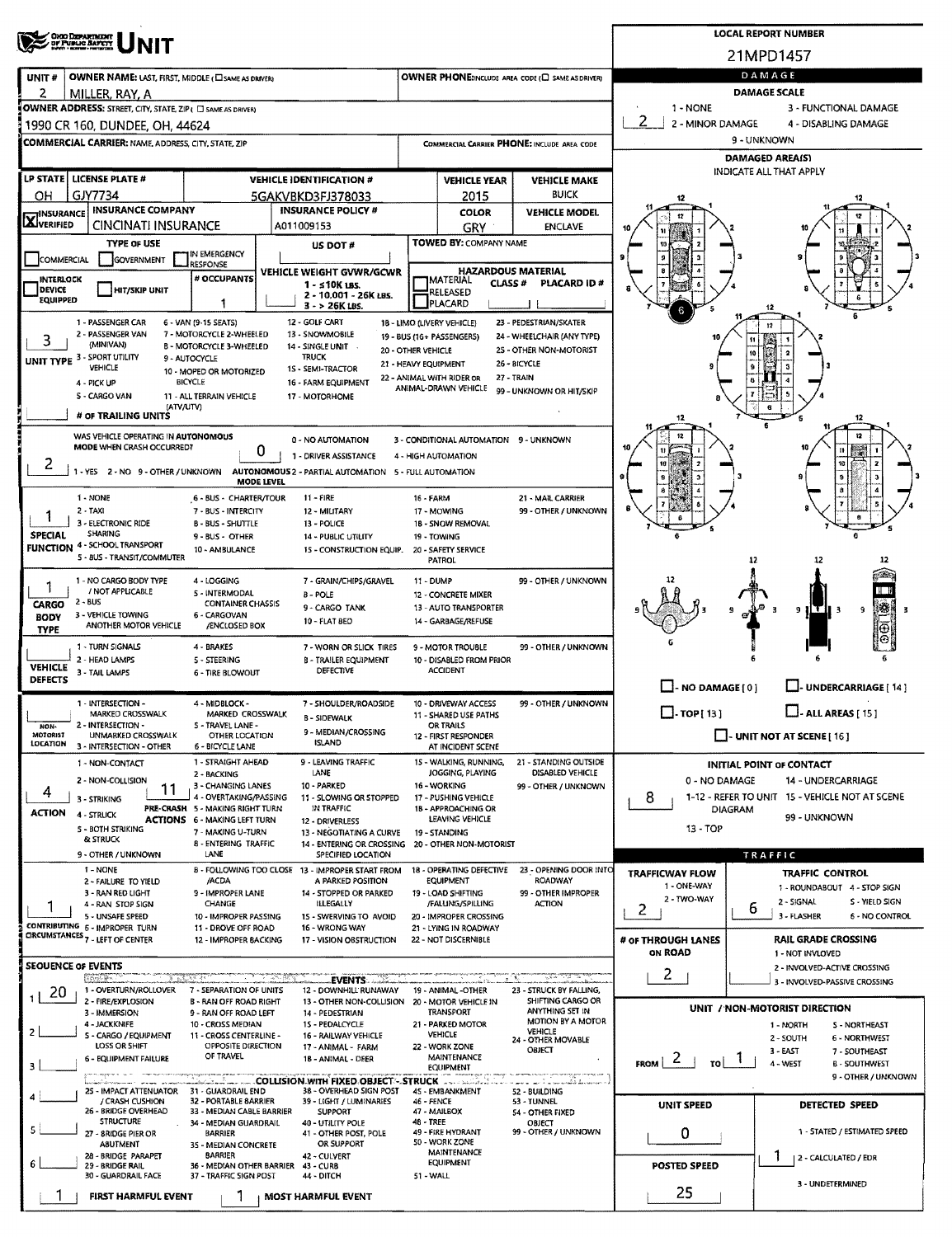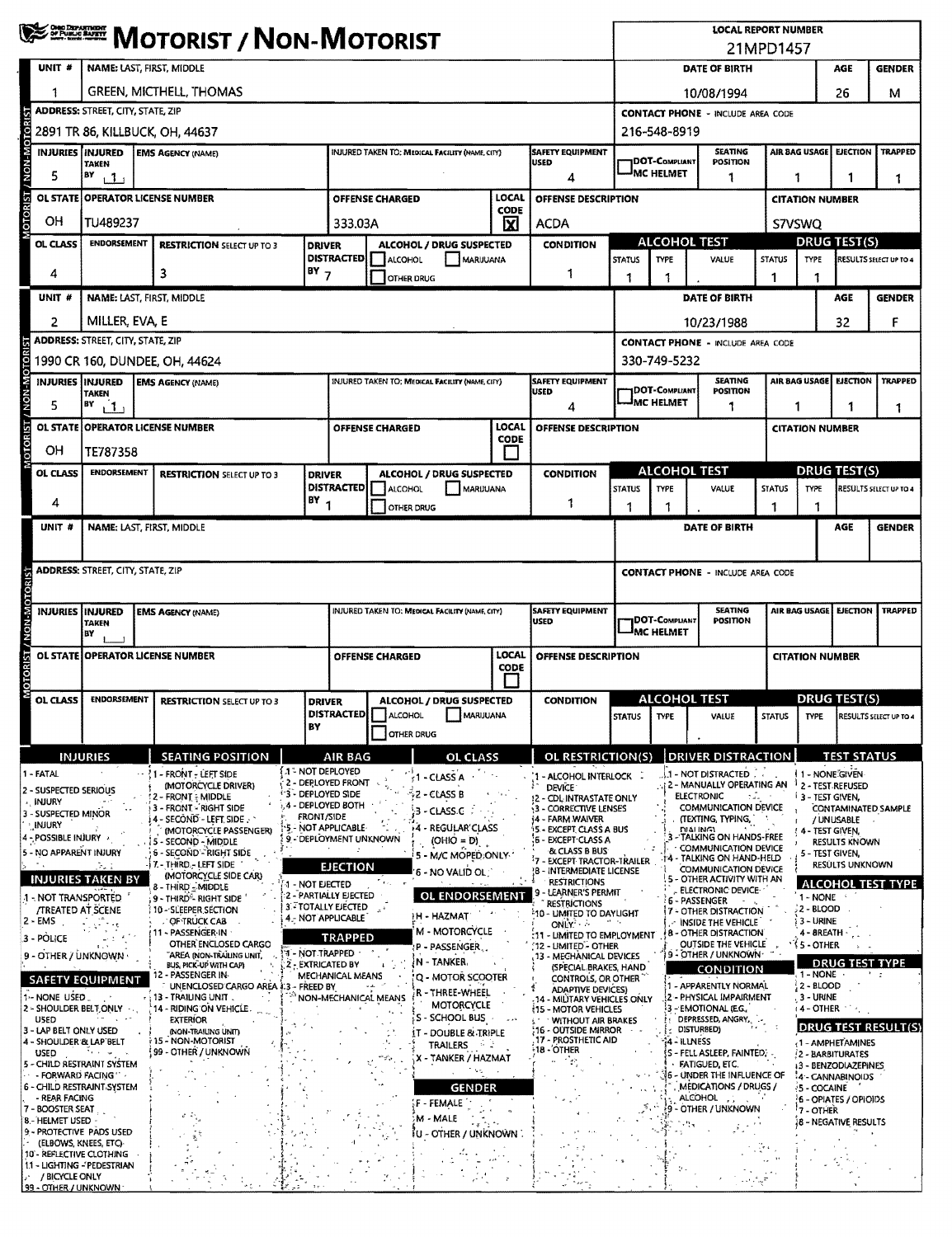|                                                                                                                                                                                                                                                                                                                                                                                                                                                                                                                                                                                                       | <b>WE DESCRIPT / NON-MOTORIST</b>                                                                 |                                                                                                                                                                                                                                                                                                                                                                                                                                                                                                                                                                                                                                                                                           |                                                                                                                                                                                                                  |                                                                                                                               |                        |                                                                                                                                                                                                                                                                                                                                                                                                                                                                        |                                                                                                       |                                                                                                                                                                                                                                                                                                                                                                                                                                                                                                                                                                                                                                                                           |                                                                        | <b>LOCAL REPORT NUMBER</b><br>21MPD1457  |                                                                                                                                                                                                                                                                                                                                                                                                                                                                                                                                                                                                                                                                                                                                                      |                                    |                                                                                                                                                                                                                                                                                                                                                                                                                                                        |                                                       |                                                                                                                      |  |  |
|-------------------------------------------------------------------------------------------------------------------------------------------------------------------------------------------------------------------------------------------------------------------------------------------------------------------------------------------------------------------------------------------------------------------------------------------------------------------------------------------------------------------------------------------------------------------------------------------------------|---------------------------------------------------------------------------------------------------|-------------------------------------------------------------------------------------------------------------------------------------------------------------------------------------------------------------------------------------------------------------------------------------------------------------------------------------------------------------------------------------------------------------------------------------------------------------------------------------------------------------------------------------------------------------------------------------------------------------------------------------------------------------------------------------------|------------------------------------------------------------------------------------------------------------------------------------------------------------------------------------------------------------------|-------------------------------------------------------------------------------------------------------------------------------|------------------------|------------------------------------------------------------------------------------------------------------------------------------------------------------------------------------------------------------------------------------------------------------------------------------------------------------------------------------------------------------------------------------------------------------------------------------------------------------------------|-------------------------------------------------------------------------------------------------------|---------------------------------------------------------------------------------------------------------------------------------------------------------------------------------------------------------------------------------------------------------------------------------------------------------------------------------------------------------------------------------------------------------------------------------------------------------------------------------------------------------------------------------------------------------------------------------------------------------------------------------------------------------------------------|------------------------------------------------------------------------|------------------------------------------|------------------------------------------------------------------------------------------------------------------------------------------------------------------------------------------------------------------------------------------------------------------------------------------------------------------------------------------------------------------------------------------------------------------------------------------------------------------------------------------------------------------------------------------------------------------------------------------------------------------------------------------------------------------------------------------------------------------------------------------------------|------------------------------------|--------------------------------------------------------------------------------------------------------------------------------------------------------------------------------------------------------------------------------------------------------------------------------------------------------------------------------------------------------------------------------------------------------------------------------------------------------|-------------------------------------------------------|----------------------------------------------------------------------------------------------------------------------|--|--|
| UNIT #                                                                                                                                                                                                                                                                                                                                                                                                                                                                                                                                                                                                | NAME: LAST, FIRST, MIDDLE                                                                         |                                                                                                                                                                                                                                                                                                                                                                                                                                                                                                                                                                                                                                                                                           |                                                                                                                                                                                                                  |                                                                                                                               |                        |                                                                                                                                                                                                                                                                                                                                                                                                                                                                        |                                                                                                       |                                                                                                                                                                                                                                                                                                                                                                                                                                                                                                                                                                                                                                                                           |                                                                        |                                          | DATE OF BIRTH<br>AGE                                                                                                                                                                                                                                                                                                                                                                                                                                                                                                                                                                                                                                                                                                                                 |                                    |                                                                                                                                                                                                                                                                                                                                                                                                                                                        |                                                       | <b>GENDER</b>                                                                                                        |  |  |
|                                                                                                                                                                                                                                                                                                                                                                                                                                                                                                                                                                                                       | <b>GREEN, MICTHELL, THOMAS</b>                                                                    |                                                                                                                                                                                                                                                                                                                                                                                                                                                                                                                                                                                                                                                                                           |                                                                                                                                                                                                                  |                                                                                                                               |                        |                                                                                                                                                                                                                                                                                                                                                                                                                                                                        |                                                                                                       |                                                                                                                                                                                                                                                                                                                                                                                                                                                                                                                                                                                                                                                                           |                                                                        |                                          | 10/08/1994                                                                                                                                                                                                                                                                                                                                                                                                                                                                                                                                                                                                                                                                                                                                           |                                    |                                                                                                                                                                                                                                                                                                                                                                                                                                                        | 26                                                    | м                                                                                                                    |  |  |
|                                                                                                                                                                                                                                                                                                                                                                                                                                                                                                                                                                                                       | <b>ADDRESS: STREET, CITY, STATE, ZIP</b>                                                          |                                                                                                                                                                                                                                                                                                                                                                                                                                                                                                                                                                                                                                                                                           |                                                                                                                                                                                                                  |                                                                                                                               |                        |                                                                                                                                                                                                                                                                                                                                                                                                                                                                        |                                                                                                       |                                                                                                                                                                                                                                                                                                                                                                                                                                                                                                                                                                                                                                                                           |                                                                        | <b>CONTACT PHONE - INCLUDE AREA CODE</b> |                                                                                                                                                                                                                                                                                                                                                                                                                                                                                                                                                                                                                                                                                                                                                      |                                    |                                                                                                                                                                                                                                                                                                                                                                                                                                                        |                                                       |                                                                                                                      |  |  |
|                                                                                                                                                                                                                                                                                                                                                                                                                                                                                                                                                                                                       | 2891 TR 86, KILLBUCK, OH, 44637                                                                   |                                                                                                                                                                                                                                                                                                                                                                                                                                                                                                                                                                                                                                                                                           |                                                                                                                                                                                                                  |                                                                                                                               |                        |                                                                                                                                                                                                                                                                                                                                                                                                                                                                        |                                                                                                       |                                                                                                                                                                                                                                                                                                                                                                                                                                                                                                                                                                                                                                                                           |                                                                        |                                          | 216-548-8919                                                                                                                                                                                                                                                                                                                                                                                                                                                                                                                                                                                                                                                                                                                                         |                                    |                                                                                                                                                                                                                                                                                                                                                                                                                                                        |                                                       |                                                                                                                      |  |  |
| / NON-MOTO                                                                                                                                                                                                                                                                                                                                                                                                                                                                                                                                                                                            | TAKEN                                                                                             | <b>INJURIES INJURED</b><br><b>SAFETY EQUIPMENT</b><br><b>EMS AGENCY (NAME)</b><br><b>INJURED TAKEN TO: MEDICAL FACILITY (NAME, CITY)</b><br><b>USED</b>                                                                                                                                                                                                                                                                                                                                                                                                                                                                                                                                   |                                                                                                                                                                                                                  |                                                                                                                               |                        |                                                                                                                                                                                                                                                                                                                                                                                                                                                                        |                                                                                                       |                                                                                                                                                                                                                                                                                                                                                                                                                                                                                                                                                                                                                                                                           |                                                                        | <b>JDOT-COMPLIANT</b>                    | <b>SEATING</b><br>POSITION                                                                                                                                                                                                                                                                                                                                                                                                                                                                                                                                                                                                                                                                                                                           |                                    | AIR BAG USAGE                                                                                                                                                                                                                                                                                                                                                                                                                                          | <b>EJECTION</b>                                       | <b>TRAPPED</b>                                                                                                       |  |  |
| 5                                                                                                                                                                                                                                                                                                                                                                                                                                                                                                                                                                                                     | BY<br>11                                                                                          |                                                                                                                                                                                                                                                                                                                                                                                                                                                                                                                                                                                                                                                                                           |                                                                                                                                                                                                                  |                                                                                                                               |                        |                                                                                                                                                                                                                                                                                                                                                                                                                                                                        |                                                                                                       | 4                                                                                                                                                                                                                                                                                                                                                                                                                                                                                                                                                                                                                                                                         |                                                                        | <b>IMC HELMET</b><br>1<br>1<br>1.        |                                                                                                                                                                                                                                                                                                                                                                                                                                                                                                                                                                                                                                                                                                                                                      |                                    |                                                                                                                                                                                                                                                                                                                                                                                                                                                        | 1                                                     |                                                                                                                      |  |  |
| <b>OTORIST</b><br><b>OL STATE</b>                                                                                                                                                                                                                                                                                                                                                                                                                                                                                                                                                                     | LOCAL<br><b>OPERATOR LICENSE NUMBER</b><br>OFFENSE DESCRIPTION<br><b>OFFENSE CHARGED</b><br>CODE  |                                                                                                                                                                                                                                                                                                                                                                                                                                                                                                                                                                                                                                                                                           |                                                                                                                                                                                                                  |                                                                                                                               |                        |                                                                                                                                                                                                                                                                                                                                                                                                                                                                        |                                                                                                       |                                                                                                                                                                                                                                                                                                                                                                                                                                                                                                                                                                                                                                                                           |                                                                        |                                          |                                                                                                                                                                                                                                                                                                                                                                                                                                                                                                                                                                                                                                                                                                                                                      |                                    | <b>CITATION NUMBER</b>                                                                                                                                                                                                                                                                                                                                                                                                                                 |                                                       |                                                                                                                      |  |  |
| OН                                                                                                                                                                                                                                                                                                                                                                                                                                                                                                                                                                                                    | TU489237                                                                                          |                                                                                                                                                                                                                                                                                                                                                                                                                                                                                                                                                                                                                                                                                           | 図<br>333.03A                                                                                                                                                                                                     |                                                                                                                               |                        | ACDA                                                                                                                                                                                                                                                                                                                                                                                                                                                                   |                                                                                                       | ALCOHOL TEST                                                                                                                                                                                                                                                                                                                                                                                                                                                                                                                                                                                                                                                              |                                                                        |                                          | S7VSWQ                                                                                                                                                                                                                                                                                                                                                                                                                                                                                                                                                                                                                                                                                                                                               |                                    |                                                                                                                                                                                                                                                                                                                                                                                                                                                        |                                                       |                                                                                                                      |  |  |
| OL CLASS                                                                                                                                                                                                                                                                                                                                                                                                                                                                                                                                                                                              | <b>ENDORSEMENT</b><br><b>RESTRICTION SELECT UP TO 3</b>                                           |                                                                                                                                                                                                                                                                                                                                                                                                                                                                                                                                                                                                                                                                                           |                                                                                                                                                                                                                  | ALCOHOL / DRUG SUSPECTED<br><b>DRIVER</b><br><b>DISTRACTED</b><br>MARIJUANA<br>ALCOHOL                                        |                        |                                                                                                                                                                                                                                                                                                                                                                                                                                                                        | <b>CONDITION</b>                                                                                      | <b>STATUS</b>                                                                                                                                                                                                                                                                                                                                                                                                                                                                                                                                                                                                                                                             | <b>TYPE</b>                                                            | VALUE                                    | <b>STATUS</b>                                                                                                                                                                                                                                                                                                                                                                                                                                                                                                                                                                                                                                                                                                                                        | <b>DRUG TEST(S)</b><br><b>TYPE</b> |                                                                                                                                                                                                                                                                                                                                                                                                                                                        | RESULTS SELECT UP TO 4                                |                                                                                                                      |  |  |
| 4                                                                                                                                                                                                                                                                                                                                                                                                                                                                                                                                                                                                     | $BY$ 7<br>3                                                                                       |                                                                                                                                                                                                                                                                                                                                                                                                                                                                                                                                                                                                                                                                                           |                                                                                                                                                                                                                  | 1<br><b>OTHER DRUG</b>                                                                                                        |                        |                                                                                                                                                                                                                                                                                                                                                                                                                                                                        |                                                                                                       | 1                                                                                                                                                                                                                                                                                                                                                                                                                                                                                                                                                                                                                                                                         |                                                                        |                                          | 1                                                                                                                                                                                                                                                                                                                                                                                                                                                                                                                                                                                                                                                                                                                                                    |                                    |                                                                                                                                                                                                                                                                                                                                                                                                                                                        |                                                       |                                                                                                                      |  |  |
| UNIT #                                                                                                                                                                                                                                                                                                                                                                                                                                                                                                                                                                                                |                                                                                                   | NAME: LAST, FIRST, MIDDLE                                                                                                                                                                                                                                                                                                                                                                                                                                                                                                                                                                                                                                                                 |                                                                                                                                                                                                                  |                                                                                                                               |                        |                                                                                                                                                                                                                                                                                                                                                                                                                                                                        |                                                                                                       |                                                                                                                                                                                                                                                                                                                                                                                                                                                                                                                                                                                                                                                                           |                                                                        |                                          | DATE OF BIRTH                                                                                                                                                                                                                                                                                                                                                                                                                                                                                                                                                                                                                                                                                                                                        |                                    |                                                                                                                                                                                                                                                                                                                                                                                                                                                        | AGE                                                   | <b>GENDER</b>                                                                                                        |  |  |
| 2                                                                                                                                                                                                                                                                                                                                                                                                                                                                                                                                                                                                     | MILLER, EVA, E                                                                                    |                                                                                                                                                                                                                                                                                                                                                                                                                                                                                                                                                                                                                                                                                           |                                                                                                                                                                                                                  |                                                                                                                               |                        |                                                                                                                                                                                                                                                                                                                                                                                                                                                                        |                                                                                                       |                                                                                                                                                                                                                                                                                                                                                                                                                                                                                                                                                                                                                                                                           | 10/23/1988<br>32<br>F                                                  |                                          |                                                                                                                                                                                                                                                                                                                                                                                                                                                                                                                                                                                                                                                                                                                                                      |                                    |                                                                                                                                                                                                                                                                                                                                                                                                                                                        |                                                       |                                                                                                                      |  |  |
|                                                                                                                                                                                                                                                                                                                                                                                                                                                                                                                                                                                                       | <b>ADDRESS: STREET, CITY, STATE, ZIP</b>                                                          |                                                                                                                                                                                                                                                                                                                                                                                                                                                                                                                                                                                                                                                                                           |                                                                                                                                                                                                                  |                                                                                                                               |                        |                                                                                                                                                                                                                                                                                                                                                                                                                                                                        |                                                                                                       |                                                                                                                                                                                                                                                                                                                                                                                                                                                                                                                                                                                                                                                                           |                                                                        |                                          | <b>CONTACT PHONE - INCLUDE AREA CODE</b>                                                                                                                                                                                                                                                                                                                                                                                                                                                                                                                                                                                                                                                                                                             |                                    |                                                                                                                                                                                                                                                                                                                                                                                                                                                        |                                                       |                                                                                                                      |  |  |
| <b>INJURIES INJURED</b>                                                                                                                                                                                                                                                                                                                                                                                                                                                                                                                                                                               |                                                                                                   | 1990 CR 160, DUNDEE, OH, 44624<br><b>EMS AGENCY (NAME)</b>                                                                                                                                                                                                                                                                                                                                                                                                                                                                                                                                                                                                                                |                                                                                                                                                                                                                  |                                                                                                                               |                        | INJURED TAKEN TO; MEDICAL FACILITY (NAME, CITY)                                                                                                                                                                                                                                                                                                                                                                                                                        |                                                                                                       | <b>SAFETY EQUIPMENT</b>                                                                                                                                                                                                                                                                                                                                                                                                                                                                                                                                                                                                                                                   |                                                                        | 330-749-5232                             |                                                                                                                                                                                                                                                                                                                                                                                                                                                                                                                                                                                                                                                                                                                                                      |                                    | AIR BAG USAGE EJECTION                                                                                                                                                                                                                                                                                                                                                                                                                                 |                                                       | TRAPPED                                                                                                              |  |  |
| NON-MOTOR<br>5                                                                                                                                                                                                                                                                                                                                                                                                                                                                                                                                                                                        | <b>TAKEN</b><br>$\mathbf{F}$ $\mathbf{H}$                                                         |                                                                                                                                                                                                                                                                                                                                                                                                                                                                                                                                                                                                                                                                                           |                                                                                                                                                                                                                  |                                                                                                                               |                        |                                                                                                                                                                                                                                                                                                                                                                                                                                                                        |                                                                                                       | <b>USED</b><br>4                                                                                                                                                                                                                                                                                                                                                                                                                                                                                                                                                                                                                                                          | <b>SEATING</b><br>1DOT-Compliant<br><b>POSITION</b><br>JMC HELMET<br>1 |                                          |                                                                                                                                                                                                                                                                                                                                                                                                                                                                                                                                                                                                                                                                                                                                                      | 1<br>1<br>1                        |                                                                                                                                                                                                                                                                                                                                                                                                                                                        |                                                       |                                                                                                                      |  |  |
| <b>OTORIST</b>                                                                                                                                                                                                                                                                                                                                                                                                                                                                                                                                                                                        |                                                                                                   | OL STATE OPERATOR LICENSE NUMBER                                                                                                                                                                                                                                                                                                                                                                                                                                                                                                                                                                                                                                                          |                                                                                                                                                                                                                  |                                                                                                                               | <b>OFFENSE CHARGED</b> |                                                                                                                                                                                                                                                                                                                                                                                                                                                                        | LOCAL<br><b>CODE</b>                                                                                  | OFFENSE DESCRIPTION                                                                                                                                                                                                                                                                                                                                                                                                                                                                                                                                                                                                                                                       |                                                                        |                                          |                                                                                                                                                                                                                                                                                                                                                                                                                                                                                                                                                                                                                                                                                                                                                      | <b>CITATION NUMBER</b>             |                                                                                                                                                                                                                                                                                                                                                                                                                                                        |                                                       |                                                                                                                      |  |  |
| OН                                                                                                                                                                                                                                                                                                                                                                                                                                                                                                                                                                                                    | TE787358                                                                                          |                                                                                                                                                                                                                                                                                                                                                                                                                                                                                                                                                                                                                                                                                           |                                                                                                                                                                                                                  |                                                                                                                               |                        |                                                                                                                                                                                                                                                                                                                                                                                                                                                                        |                                                                                                       |                                                                                                                                                                                                                                                                                                                                                                                                                                                                                                                                                                                                                                                                           |                                                                        |                                          |                                                                                                                                                                                                                                                                                                                                                                                                                                                                                                                                                                                                                                                                                                                                                      |                                    |                                                                                                                                                                                                                                                                                                                                                                                                                                                        |                                                       |                                                                                                                      |  |  |
| OL CLASS                                                                                                                                                                                                                                                                                                                                                                                                                                                                                                                                                                                              | <b>ENDORSEMENT</b>                                                                                | <b>RESTRICTION SELECT UP TO 3</b>                                                                                                                                                                                                                                                                                                                                                                                                                                                                                                                                                                                                                                                         |                                                                                                                                                                                                                  | ALCOHOL / DRUG SUSPECTED<br><b>DRIVER</b><br><b>DISTRACTED</b><br>MARUUANA<br><b>ALCOHOL</b>                                  |                        |                                                                                                                                                                                                                                                                                                                                                                                                                                                                        |                                                                                                       | <b>CONDITION</b>                                                                                                                                                                                                                                                                                                                                                                                                                                                                                                                                                                                                                                                          | <b>STATUS</b>                                                          | <b>ALCOHOL TEST</b><br><b>TYPE</b>       | VALUE                                                                                                                                                                                                                                                                                                                                                                                                                                                                                                                                                                                                                                                                                                                                                | <b>STATUS</b>                      | <b>DRUG TEST(S)</b><br>TYPE                                                                                                                                                                                                                                                                                                                                                                                                                            |                                                       | RESULTS SELECT UP TO 4                                                                                               |  |  |
| 4                                                                                                                                                                                                                                                                                                                                                                                                                                                                                                                                                                                                     |                                                                                                   |                                                                                                                                                                                                                                                                                                                                                                                                                                                                                                                                                                                                                                                                                           |                                                                                                                                                                                                                  | $BY_1$<br><b>OTHER DRUG</b>                                                                                                   |                        |                                                                                                                                                                                                                                                                                                                                                                                                                                                                        | 1                                                                                                     | 1                                                                                                                                                                                                                                                                                                                                                                                                                                                                                                                                                                                                                                                                         | 1                                                                      |                                          | 1                                                                                                                                                                                                                                                                                                                                                                                                                                                                                                                                                                                                                                                                                                                                                    | 1                                  |                                                                                                                                                                                                                                                                                                                                                                                                                                                        |                                                       |                                                                                                                      |  |  |
| UNIT #                                                                                                                                                                                                                                                                                                                                                                                                                                                                                                                                                                                                | NAME: LAST, FIRST, MIDDLE                                                                         |                                                                                                                                                                                                                                                                                                                                                                                                                                                                                                                                                                                                                                                                                           |                                                                                                                                                                                                                  |                                                                                                                               |                        |                                                                                                                                                                                                                                                                                                                                                                                                                                                                        |                                                                                                       |                                                                                                                                                                                                                                                                                                                                                                                                                                                                                                                                                                                                                                                                           |                                                                        |                                          | DATE OF BIRTH                                                                                                                                                                                                                                                                                                                                                                                                                                                                                                                                                                                                                                                                                                                                        |                                    |                                                                                                                                                                                                                                                                                                                                                                                                                                                        | <b>AGE</b>                                            | <b>GENDER</b>                                                                                                        |  |  |
|                                                                                                                                                                                                                                                                                                                                                                                                                                                                                                                                                                                                       | <b>ADDRESS: STREET, CITY, STATE, ZIP</b>                                                          |                                                                                                                                                                                                                                                                                                                                                                                                                                                                                                                                                                                                                                                                                           |                                                                                                                                                                                                                  |                                                                                                                               |                        |                                                                                                                                                                                                                                                                                                                                                                                                                                                                        |                                                                                                       |                                                                                                                                                                                                                                                                                                                                                                                                                                                                                                                                                                                                                                                                           | <b>CONTACT PHONE - INCLUDE AREA CODE</b>                               |                                          |                                                                                                                                                                                                                                                                                                                                                                                                                                                                                                                                                                                                                                                                                                                                                      |                                    |                                                                                                                                                                                                                                                                                                                                                                                                                                                        |                                                       |                                                                                                                      |  |  |
|                                                                                                                                                                                                                                                                                                                                                                                                                                                                                                                                                                                                       |                                                                                                   |                                                                                                                                                                                                                                                                                                                                                                                                                                                                                                                                                                                                                                                                                           |                                                                                                                                                                                                                  |                                                                                                                               |                        |                                                                                                                                                                                                                                                                                                                                                                                                                                                                        |                                                                                                       |                                                                                                                                                                                                                                                                                                                                                                                                                                                                                                                                                                                                                                                                           |                                                                        |                                          |                                                                                                                                                                                                                                                                                                                                                                                                                                                                                                                                                                                                                                                                                                                                                      |                                    |                                                                                                                                                                                                                                                                                                                                                                                                                                                        |                                                       |                                                                                                                      |  |  |
| <b>NON-MOTORIST</b><br><b>INJURIES INJURED</b>                                                                                                                                                                                                                                                                                                                                                                                                                                                                                                                                                        | <b>EMS AGENCY (NAME)</b><br>INJURED TAKEN TO: MEDICAL FACILITY (NAME, CITY)<br><b>TAKEN</b><br>BY |                                                                                                                                                                                                                                                                                                                                                                                                                                                                                                                                                                                                                                                                                           |                                                                                                                                                                                                                  |                                                                                                                               |                        | <b>SAFETY EQUIPMENT</b><br><b>USED</b>                                                                                                                                                                                                                                                                                                                                                                                                                                 | <b>SEATING</b><br><b>EJECTION</b><br>AIR BAG USAGE<br><b>IDOT-C</b> ompliant<br>POSITION<br>MC HELMET |                                                                                                                                                                                                                                                                                                                                                                                                                                                                                                                                                                                                                                                                           |                                                                        | <b>TRAPPED</b>                           |                                                                                                                                                                                                                                                                                                                                                                                                                                                                                                                                                                                                                                                                                                                                                      |                                    |                                                                                                                                                                                                                                                                                                                                                                                                                                                        |                                                       |                                                                                                                      |  |  |
| MOTORIST/                                                                                                                                                                                                                                                                                                                                                                                                                                                                                                                                                                                             |                                                                                                   | OL STATE OPERATOR LICENSE NUMBER                                                                                                                                                                                                                                                                                                                                                                                                                                                                                                                                                                                                                                                          |                                                                                                                                                                                                                  | LOCAL<br><b>OFFENSE DESCRIPTION</b><br><b>OFFENSE CHARGED</b><br><b>CODE</b>                                                  |                        |                                                                                                                                                                                                                                                                                                                                                                                                                                                                        |                                                                                                       | <b>CITATION NUMBER</b>                                                                                                                                                                                                                                                                                                                                                                                                                                                                                                                                                                                                                                                    |                                                                        |                                          |                                                                                                                                                                                                                                                                                                                                                                                                                                                                                                                                                                                                                                                                                                                                                      |                                    |                                                                                                                                                                                                                                                                                                                                                                                                                                                        |                                                       |                                                                                                                      |  |  |
| OL CLASS                                                                                                                                                                                                                                                                                                                                                                                                                                                                                                                                                                                              | <b>ENDORSEMENT</b>                                                                                | <b>RESTRICTION SELECT UP TO 3</b>                                                                                                                                                                                                                                                                                                                                                                                                                                                                                                                                                                                                                                                         |                                                                                                                                                                                                                  | ALCOHOL / DRUG SUSPECTED<br><b>DRIVER</b>                                                                                     |                        |                                                                                                                                                                                                                                                                                                                                                                                                                                                                        |                                                                                                       | <b>CONDITION</b>                                                                                                                                                                                                                                                                                                                                                                                                                                                                                                                                                                                                                                                          | <b>ALCOHOL TEST</b><br><b>DRUG TEST(S)</b>                             |                                          |                                                                                                                                                                                                                                                                                                                                                                                                                                                                                                                                                                                                                                                                                                                                                      |                                    |                                                                                                                                                                                                                                                                                                                                                                                                                                                        |                                                       |                                                                                                                      |  |  |
|                                                                                                                                                                                                                                                                                                                                                                                                                                                                                                                                                                                                       |                                                                                                   |                                                                                                                                                                                                                                                                                                                                                                                                                                                                                                                                                                                                                                                                                           | BY                                                                                                                                                                                                               |                                                                                                                               | <b>OTHER DRUG</b>      | <b>DISTRACTED ALCOHOL MARIJUANA</b>                                                                                                                                                                                                                                                                                                                                                                                                                                    |                                                                                                       |                                                                                                                                                                                                                                                                                                                                                                                                                                                                                                                                                                                                                                                                           |                                                                        | STATUS TVPF                              | VALUE                                                                                                                                                                                                                                                                                                                                                                                                                                                                                                                                                                                                                                                                                                                                                |                                    |                                                                                                                                                                                                                                                                                                                                                                                                                                                        |                                                       | STATUS TYPE RESULTS SELECT UP TO 4                                                                                   |  |  |
|                                                                                                                                                                                                                                                                                                                                                                                                                                                                                                                                                                                                       | <b>INJURIES</b>                                                                                   | <b>SEATING POSITION</b>                                                                                                                                                                                                                                                                                                                                                                                                                                                                                                                                                                                                                                                                   |                                                                                                                                                                                                                  | AIR BAG                                                                                                                       |                        | <b>OL CLASS</b>                                                                                                                                                                                                                                                                                                                                                                                                                                                        |                                                                                                       | OL RESTRICTION(S)                                                                                                                                                                                                                                                                                                                                                                                                                                                                                                                                                                                                                                                         |                                                                        |                                          | <b>DRIVER DISTRACTION</b>                                                                                                                                                                                                                                                                                                                                                                                                                                                                                                                                                                                                                                                                                                                            |                                    |                                                                                                                                                                                                                                                                                                                                                                                                                                                        | <b>TEST STATUS</b>                                    |                                                                                                                      |  |  |
| 1 - FATAL<br>2 - SUSPECTED SERIOUS<br><b>NUURY</b><br>3 - SUSPECTED MINOR<br>INJURY<br>4 - POSSIBLE INJURY<br>5 - NO APPARENT INJURY<br>1 - NOT TRANSPORTED<br><b><i>TREATED AT SCENE</i></b><br>2 - EMS<br>3 - POLICE<br>9 - OTHER / UNKNOWN ·<br><b>SAFETY EQUIPMENT</b><br>1-NONE USED<br>2 - SHOULDER BELT, ONLY<br><b>USED</b><br>3 - LAP BELT ONLY USED<br>4 - SHOULDER & LAP BELT<br><b>USED</b><br>5 - CHILD RESTRAINT SYSTEM<br>- FORWARD FACING<br>6 - CHILD RESTRAINT SYSTEM<br>- REAR FACING<br>7 - BOOSTER SEAT<br>8 - HELMET USED -<br>9 - PROTECTIVE PADS USED<br>(ELBOWS, KNEES, ETC) | 7.<br><b>INJURIES TAKEN BY</b><br>Tells Clar                                                      | <b>1 - FRONT - LEFT SIDE</b><br>(MOTORCYCLE DRIVER)<br>2 - FRONT : MIDDLE<br>3 - FRONT - RIGHT SIDE<br>4 - SECOND - LEFT SIDE<br>(MOTORCYCLE PASSENGER)<br>5 - SECOND - MIDDLE<br><b>6 - SECOND - RIGHT SIDE</b><br>17 - THIRD - LEFT SIDE<br>(MOTORCYCLE SIDE CAR)<br>8 - THIRD - MIDDLE<br>9 - THIRD <sup>e</sup> - RIGHT SIDE<br>10 - SLEEPER SECTION<br>OF TRUCK CAB<br>11 - PASSENGER-IN<br>OTHER ENCLOSED CARGO<br>AREA INON-TRAILING UNIT.<br>BUS, PICK-UP WITH CAPI<br>- PASSENGER IN-<br>UNENCLOSED CARGO AREA 1:3 - FREED BY<br>13 TRAILING UNIT.<br>14 - RIDING ON VEHICLE<br><b>EXTERIOR</b><br>(NON-TRAILING UNIT)<br>15 - NON-MOTORIST<br><b>59 - OTHER / UNKNOWN</b><br>ą, | 2 - DEPLOYED FRONT<br>3 - DEPLOYED SIDE<br>: 4 - DEPLOYED BOTH<br><b>FRONT/SIDE</b><br>1 - Not ejected<br>2 - PARTIALLY EJECTED<br>3-TOTALLY EJECTED<br>4 - NOT APPLICABLE<br>1 - NOT TRAPPED<br>2 EXTRICATED BY | 5 - NOT APPLICABLE<br>9 - DEPLOYMENT UNKNOWN<br><b>EJECTION</b><br><b>TRAPPED</b><br>MECHANICAL MEANS<br>NON-MECHANICAL MEANS | $\pi^{\rm th}$         | $+1 - CLASSA$<br>2 - CLASS B<br>3 - CLASS G<br>4 - REGULAR CLASS<br>$(OHIO = D)$<br>5 - M/C MOPED ONLY<br>6 - NO VALID OL<br>OL ENDORSEMENT<br>IH - HAZMAT<br>M - MOTORCYCLE<br>P - PASSENGER<br>N - TANKER.<br>Q - MOTOR SCOOTER<br>R - THREE-WHEEL<br><b>MOTORCYCLE</b><br>S - SCHOOL BUS<br><b>IT - DOUBLE &amp; TRIPLE</b><br>TRAILERS<br>in d<br>X - TANKER / HAZMAT<br>$\Delta\sigma_{\rm s}$<br><b>GENDER</b><br>F - FEMALE<br>M - MALE<br>IU - OTHER / UNKNOWN |                                                                                                       | 1 - ALCOHOL INTERLOCK :<br><b>DEVICE</b><br>2 - CDL INTRASTATE ONLY<br>3 - CORRECTIVE LENSES<br>14 - FARM WAIVER<br>15 - EXCEPT CLASS A BUS<br>5 - EXCEPT CLASS A<br>& CLASS B BUS<br>7 - EXCEPT TRACTOR-TRAILER<br><b>8 - INTERMEDIATE LICENSE</b><br><b>RESTRICTIONS</b><br>9 - LEARNER'S PERMIT<br><b>RESTRICTIONS</b><br>10 - LIMITED TO DAYLIGHT<br>ONLY<br>:11 - LIMITED TO EMPLOYMENT<br>12 - UMITED - OTHER<br>13 - MECHANICAL DEVICES<br>(SPECIAL BRAKES, HAND<br>CONTROLS, OR OTHER<br><b>ADAPTIVE DEVICES)</b><br>14 - MILITARY VEHICLES ONLY<br><b>i15 - MOTOR VEHICLES</b><br>WITHOUT AIR BRAKES<br>16 - OUTSIDE MIRROR<br>17 - PROSTHETIC AID<br>18 - OTHER |                                                                        | 3<br>-14<br>4 - ILLNESS                  | $1 - NOT DISTRACTED$ .<br>: 2 - MANUALLY OPERATING AN<br><b>ELECTRONIC</b><br>tā.<br>COMMUNICATION DEVICE<br>(TEXTING, TYPING,<br><b>DIALING</b><br>- TALKING ON HANDS-FREE<br><b>COMMUNICATION DEVICE</b><br>- TALKING ON HAND-HELD<br>COMMUNICATION DEVICE<br>5 - OTHER ACTIVITY WITH AN<br>- ELECTRONIC DEVICE-<br>6 - PASSENGER<br>7 - OTHER DISTRACTION<br>- INSIDE THE VEHICLE<br><b>8 - OTHER DISTRACTION</b><br><b>OUTSIDE THE VEHICLE</b><br>9 - OTHER / UNKNOWN<br>CONDITION<br>1 - APPARENTLY NORMAL<br>2 - PHYSICAL IMPAIRMENT<br>3 - EMOTIONAL (E.G.,<br>DEPRESSED, ANGRY,<br>DISTURBED)<br>S - FELL ASLEEP, FAINTED, .<br>FATIGUED, ETC.<br><b>6 - UNDER THE INFLUENCE OF</b><br>MEDICATIONS / DRUGS /<br>ALCOHOL<br>- OTHER / UNKNOWN |                                    | <b>11 - NONE GIVEN</b><br><sup>1</sup> 2 - TEST REFUSED<br><b>i 3 - TEST GIVEN,</b><br>4 - TEST GIVEN,<br>5 - TEST GIVEN,<br>1 - NONE<br>2 - BLOOD<br>3 - URINE<br>4 - BREATH<br><b>S-OTHER</b><br>1 - NONE<br>$2 - BLOOD$<br>. 3 - Urine<br>$(4 - \text{OTHER} \geq 4)$<br>{1-AMPHETAMINES<br>2 - BARBITURATES<br><b>13 - BENZODIAZEPINES</b><br>4 - CANNABINOIDS<br>5 - COCAINE<br>6 - OPIATES / OPIOIDS<br>7 - OTHER<br><b>8 - NEGATIVE RESULTS</b> | / UNUSABLE<br><b>RESULTS KNOWN</b><br>RESULTS UNKNOWN | <b>CONTAMINATED SAMPLE</b><br><b>ALCOHOL TEST TYPE</b><br><b>DRUG TEST TYPE</b><br>- 2<br><b>DRUG TEST RESULT(S)</b> |  |  |
| 10 - REFLECTIVE CLOTHING<br>11 - LIGHTING - PEDESTRIAN<br>/ BICYCLE ONLY<br>99 - OTHER / UNKNOWN                                                                                                                                                                                                                                                                                                                                                                                                                                                                                                      |                                                                                                   |                                                                                                                                                                                                                                                                                                                                                                                                                                                                                                                                                                                                                                                                                           |                                                                                                                                                                                                                  |                                                                                                                               |                        |                                                                                                                                                                                                                                                                                                                                                                                                                                                                        |                                                                                                       |                                                                                                                                                                                                                                                                                                                                                                                                                                                                                                                                                                                                                                                                           |                                                                        |                                          |                                                                                                                                                                                                                                                                                                                                                                                                                                                                                                                                                                                                                                                                                                                                                      |                                    |                                                                                                                                                                                                                                                                                                                                                                                                                                                        |                                                       |                                                                                                                      |  |  |